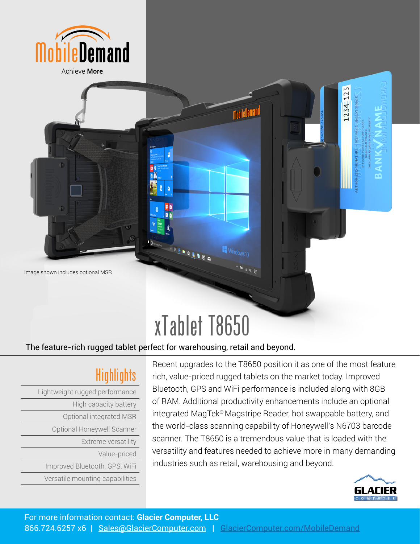



**DOLLAND** 

Windows 10

## The feature-rich rugged tablet perfect for warehousing, retail and beyond.

|  | Highlights |  |
|--|------------|--|

Lightweight rugged performance High capacity battery Optional integrated MSR Optional Honeywell Scanner Extreme versatility Value-priced Improved Bluetooth, GPS, WiFi Versatile mounting capabilities

Image shown includes optional MSR

Recent upgrades to the T8650 position it as one of the most feature rich, value-priced rugged tablets on the market today. Improved Bluetooth, GPS and WiFi performance is included along with 8GB of RAM. Additional productivity enhancements include an optional integrated MagTek® Magstripe Reader, hot swappable battery, and the world-class scanning capability of Honeywell's N6703 barcode scanner. The T8650 is a tremendous value that is loaded with the versatility and features needed to achieve more in many demanding industries such as retail, warehousing and beyond.



1234123